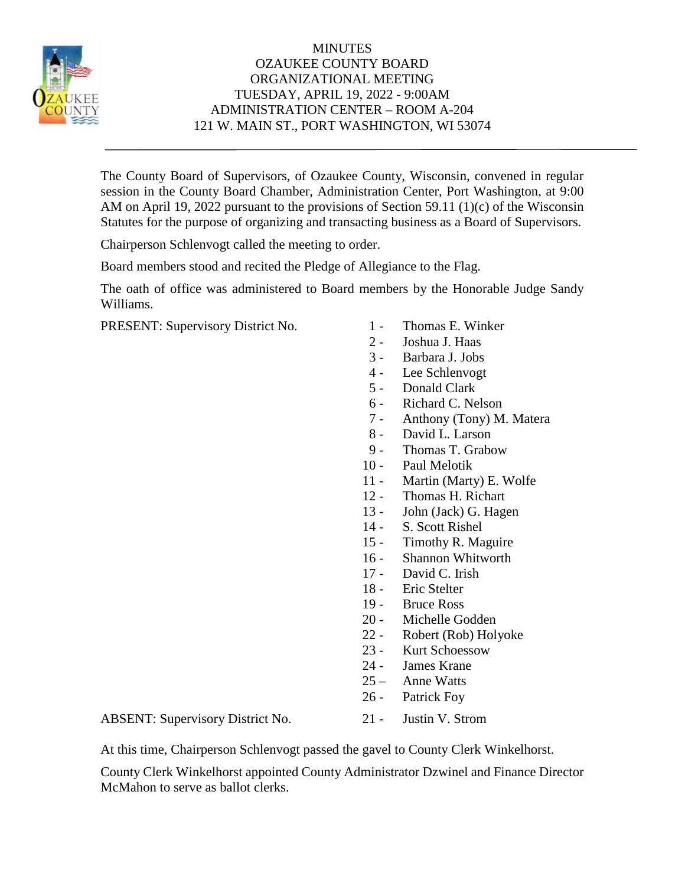

## MINUTES OZAUKEE COUNTY BOARD ORGANIZATIONAL MEETING TUESDAY, APRIL 19, 2022 - 9:00AM ADMINISTRATION CENTER – ROOM A-204 121 W. MAIN ST., PORT WASHINGTON, WI 53074

The County Board of Supervisors, of Ozaukee County, Wisconsin, convened in regular session in the County Board Chamber, Administration Center, Port Washington, at 9:00 AM on April 19, 2022 pursuant to the provisions of Section 59.11 (1)(c) of the Wisconsin Statutes for the purpose of organizing and transacting business as a Board of Supervisors.

Chairperson Schlenvogt called the meeting to order.

Board members stood and recited the Pledge of Allegiance to the Flag.

The oath of office was administered to Board members by the Honorable Judge Sandy Williams.

PRESENT: Supervisory District No. 1 - Thomas E. Winker

- 
- 2 Joshua J. Haas
- 3 Barbara J. Jobs
- 4 Lee Schlenvogt
- 5 Donald Clark
- 6 Richard C. Nelson
- 7 Anthony (Tony) M. Matera
- 8 David L. Larson
- 9 Thomas T. Grabow
- 10 Paul Melotik
- 11 Martin (Marty) E. Wolfe
- 12 Thomas H. Richart
- 13 John (Jack) G. Hagen
- 14 S. Scott Rishel
- 15 Timothy R. Maguire
- 16 Shannon Whitworth
- 17 David C. Irish
- 18 Eric Stelter
- 19 Bruce Ross
- 20 Michelle Godden
- 22 Robert (Rob) Holyoke
- 23 Kurt Schoessow
- 24 James Krane
- 25 Anne Watts
- 26 Patrick Foy

ABSENT: Supervisory District No. 21 - Justin V. Strom

At this time, Chairperson Schlenvogt passed the gavel to County Clerk Winkelhorst.

County Clerk Winkelhorst appointed County Administrator Dzwinel and Finance Director McMahon to serve as ballot clerks.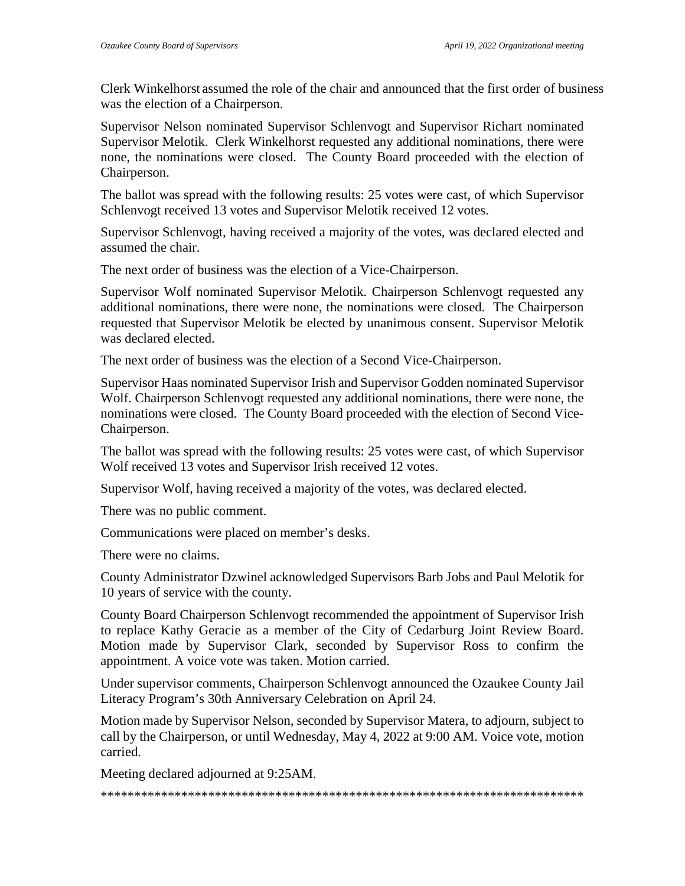Clerk Winkelhorst assumed the role of the chair and announced that the first order of business was the election of a Chairperson.

Supervisor Nelson nominated Supervisor Schlenvogt and Supervisor Richart nominated Supervisor Melotik. Clerk Winkelhorst requested any additional nominations, there were none, the nominations were closed. The County Board proceeded with the election of Chairperson.

The ballot was spread with the following results: 25 votes were cast, of which Supervisor Schlenvogt received 13 votes and Supervisor Melotik received 12 votes.

Supervisor Schlenvogt, having received a majority of the votes, was declared elected and assumed the chair.

The next order of business was the election of a Vice-Chairperson.

Supervisor Wolf nominated Supervisor Melotik. Chairperson Schlenvogt requested any additional nominations, there were none, the nominations were closed. The Chairperson requested that Supervisor Melotik be elected by unanimous consent. Supervisor Melotik was declared elected.

The next order of business was the election of a Second Vice-Chairperson.

Supervisor Haas nominated Supervisor Irish and Supervisor Godden nominated Supervisor Wolf. Chairperson Schlenvogt requested any additional nominations, there were none, the nominations were closed. The County Board proceeded with the election of Second Vice-Chairperson.

The ballot was spread with the following results: 25 votes were cast, of which Supervisor Wolf received 13 votes and Supervisor Irish received 12 votes.

Supervisor Wolf, having received a majority of the votes, was declared elected.

There was no public comment.

Communications were placed on member's desks.

There were no claims.

County Administrator Dzwinel acknowledged Supervisors Barb Jobs and Paul Melotik for 10 years of service with the county.

County Board Chairperson Schlenvogt recommended the appointment of Supervisor Irish to replace Kathy Geracie as a member of the City of Cedarburg Joint Review Board. Motion made by Supervisor Clark, seconded by Supervisor Ross to confirm the appointment. A voice vote was taken. Motion carried.

Under supervisor comments, Chairperson Schlenvogt announced the Ozaukee County Jail Literacy Program's 30th Anniversary Celebration on April 24.

Motion made by Supervisor Nelson, seconded by Supervisor Matera, to adjourn, subject to call by the Chairperson, or until Wednesday, May 4, 2022 at 9:00 AM. Voice vote, motion carried.

Meeting declared adjourned at 9:25AM.

\*\*\*\*\*\*\*\*\*\*\*\*\*\*\*\*\*\*\*\*\*\*\*\*\*\*\*\*\*\*\*\*\*\*\*\*\*\*\*\*\*\*\*\*\*\*\*\*\*\*\*\*\*\*\*\*\*\*\*\*\*\*\*\*\*\*\*\*\*\*\*\*